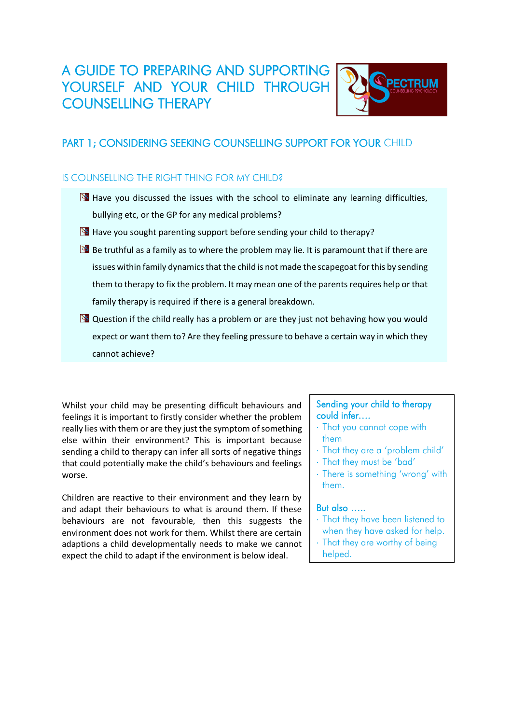# A GUIDE TO PREPARING AND SUPPORTING YOURSELF AND YOUR CHILD THROUGH COUNSELLING THERAPY



## PART 1; CONSIDERING SEEKING COUNSELLING SUPPORT FOR YOUR CHILD

### IS COUNSELLING THE RIGHT THING FOR MY CHILD?

- $\mathbb{B}$  Have you discussed the issues with the school to eliminate any learning difficulties, bullying etc, or the GP for any medical problems?
- $\mathbb{R}$  Have you sought parenting support before sending your child to therapy?
- $\mathbb{B}$  Be truthful as a family as to where the problem may lie. It is paramount that if there are issues within family dynamics that the child is not made the scapegoat for this by sending them to therapy to fix the problem. It may mean one of the parents requires help or that family therapy is required if there is a general breakdown.
- $\mathbb{R}$  Question if the child really has a problem or are they just not behaving how you would expect or want them to? Are they feeling pressure to behave a certain way in which they cannot achieve?

Whilst your child may be presenting difficult behaviours and feelings it is important to firstly consider whether the problem really lies with them or are they just the symptom of something else within their environment? This is important because sending a child to therapy can infer all sorts of negative things that could potentially make the child's behaviours and feelings worse.

Children are reactive to their environment and they learn by and adapt their behaviours to what is around them. If these behaviours are not favourable, then this suggests the environment does not work for them. Whilst there are certain adaptions a child developmentally needs to make we cannot expect the child to adapt if the environment is below ideal.

#### Sending your child to therapy could infer….

- That you cannot cope with them
- That they are a 'problem child'
- That they must be 'bad'
- There is something 'wrong' with them.

#### But also …..

- That they have been listened to when they have asked for help.
- That they are worthy of being helped.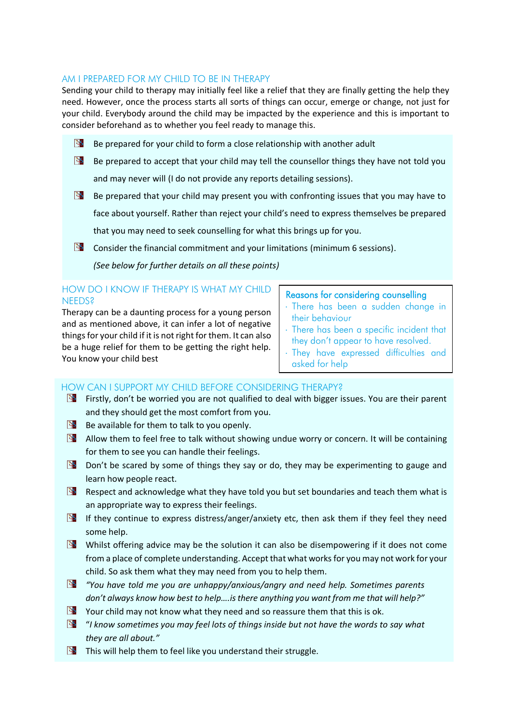#### AM I PREPARED FOR MY CHILD TO BE IN THERAPY

Sending your child to therapy may initially feel like a relief that they are finally getting the help they need. However, once the process starts all sorts of things can occur, emerge or change, not just for your child. Everybody around the child may be impacted by the experience and this is important to consider beforehand as to whether you feel ready to manage this.

- $\mathbb{B}$  Be prepared for your child to form a close relationship with another adult
- $\mathbb{B}$  Be prepared to accept that your child may tell the counsellor things they have not told you and may never will (I do not provide any reports detailing sessions).
- Be prepared that your child may present you with confronting issues that you may have to face about yourself. Rather than reject your child's need to express themselves be prepared that you may need to seek counselling for what this brings up for you.
- **Consider the financial commitment and your limitations (minimum 6 sessions).**

*(See below for further details on all these points)*

#### HOW DO I KNOW IF THERAPY IS WHAT MY CHILD NEEDS?

Therapy can be a daunting process for a young person and as mentioned above, it can infer a lot of negative things for your child if it is not right for them. It can also be a huge relief for them to be getting the right help. You know your child best

#### Reasons for considering counselling

- There has been a sudden change in their behaviour
- There has been a specific incident that they don't appear to have resolved.
- They have expressed difficulties and asked for help

#### HOW CAN I SUPPORT MY CHILD BEFORE CONSIDERING THERAPY?

- **Example 1** Firstly, don't be worried you are not qualified to deal with bigger issues. You are their parent and they should get the most comfort from you.
- Be available for them to talk to you openly.
- **B** Allow them to feel free to talk without showing undue worry or concern. It will be containing for them to see you can handle their feelings.
- $\mathbb{B}$  Don't be scared by some of things they say or do, they may be experimenting to gauge and learn how people react.
- Respect and acknowledge what they have told you but set boundaries and teach them what is an appropriate way to express their feelings.
- If they continue to express distress/anger/anxiety etc, then ask them if they feel they need some help.
- Whilst offering advice may be the solution it can also be disempowering if it does not come from a place of complete understanding. Accept that what works for you may not work for your child. So ask them what they may need from you to help them.
- *"You have told me you are unhappy/anxious/angry and need help. Sometimes parents don't always know how best to help….is there anything you want from me that will help?"*
- $\mathbb{R}$  Your child may not know what they need and so reassure them that this is ok.
- "*I know sometimes you may feel lots of things inside but not have the words to say what they are all about."*
- This will help them to feel like you understand their struggle*.*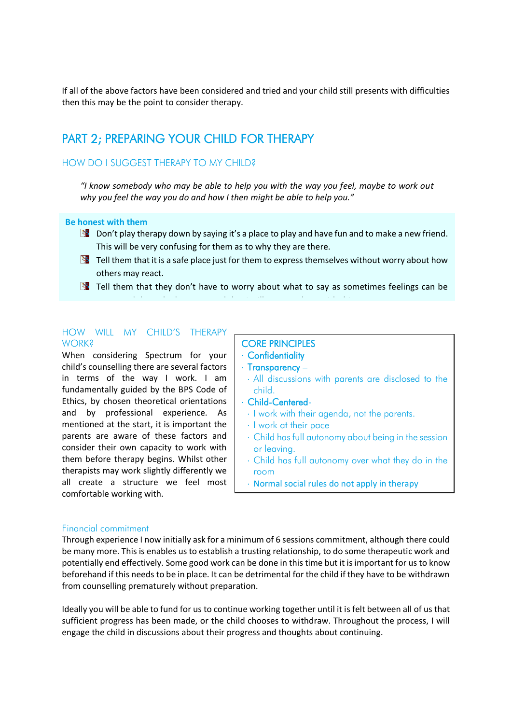If all of the above factors have been considered and tried and your child still presents with difficulties then this may be the point to consider therapy.

## PART 2; PREPARING YOUR CHILD FOR THERAPY

#### HOW DO I SUGGEST THERAPY TO MY CHILD?

*"I know somebody who may be able to help you with the way you feel, maybe to work out why you feel the way you do and how I then might be able to help you."*

#### **Be honest with them**

- $\mathbb{B}$  Don't play therapy down by saying it's a place to play and have fun and to make a new friend. This will be very confusing for them as to why they are there.
- $\mathbb{R}$  Tell them that it is a safe place just for them to express themselves without worry about how others may react.
- $\mathbb{S}$  Tell them that they don't have to worry about what to say as sometimes feelings can be

expressed through play or art and the internal support that I will support them with the main that I will support the<br>.

#### HOW WILL MY CHILD'S THERAPY **WORK?**

When considering Spectrum for your child's counselling there are several factors in terms of the way I work. I am fundamentally guided by the BPS Code of Ethics, by chosen theoretical orientations and by professional experience. As mentioned at the start, it is important the parents are aware of these factors and consider their own capacity to work with them before therapy begins. Whilst other therapists may work slightly differently we all create a structure we feel most comfortable working with.

## CORE PRINCIPLES

- Confidentiality
- $\cdot$  Transparency –
- All discussions with parents are disclosed to the child.
- Child-Centered-
- I work with their agenda, not the parents.
- I work at their pace
- Child has full autonomy about being in the session or leaving.
- Child has full autonomy over what they do in the room
- Normal social rules do not apply in therapy

#### Financial commitment

Through experience I now initially ask for a minimum of 6 sessions commitment, although there could be many more. This is enables us to establish a trusting relationship, to do some therapeutic work and potentially end effectively. Some good work can be done in this time but it is important for us to know beforehand if this needs to be in place. It can be detrimental for the child if they have to be withdrawn from counselling prematurely without preparation.

Ideally you will be able to fund for us to continue working together until it is felt between all of us that sufficient progress has been made, or the child chooses to withdraw. Throughout the process, I will engage the child in discussions about their progress and thoughts about continuing.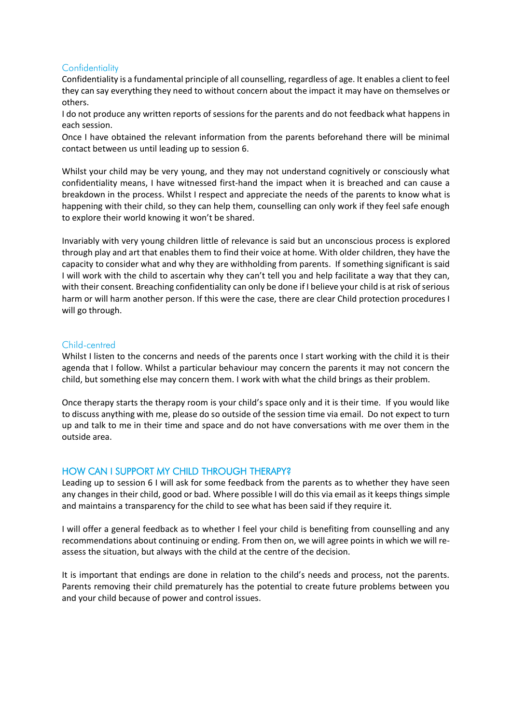#### **Confidentiality**

Confidentiality is a fundamental principle of all counselling, regardless of age. It enables a client to feel they can say everything they need to without concern about the impact it may have on themselves or others.

I do not produce any written reports of sessions for the parents and do not feedback what happens in each session.

Once I have obtained the relevant information from the parents beforehand there will be minimal contact between us until leading up to session 6.

Whilst your child may be very young, and they may not understand cognitively or consciously what confidentiality means, I have witnessed first-hand the impact when it is breached and can cause a breakdown in the process. Whilst I respect and appreciate the needs of the parents to know what is happening with their child, so they can help them, counselling can only work if they feel safe enough to explore their world knowing it won't be shared.

Invariably with very young children little of relevance is said but an unconscious process is explored through play and art that enables them to find their voice at home. With older children, they have the capacity to consider what and why they are withholding from parents. If something significant is said I will work with the child to ascertain why they can't tell you and help facilitate a way that they can, with their consent. Breaching confidentiality can only be done if I believe your child is at risk of serious harm or will harm another person. If this were the case, there are clear Child protection procedures I will go through.

#### Child-centred

Whilst I listen to the concerns and needs of the parents once I start working with the child it is their agenda that I follow. Whilst a particular behaviour may concern the parents it may not concern the child, but something else may concern them. I work with what the child brings as their problem.

Once therapy starts the therapy room is your child's space only and it is their time. If you would like to discuss anything with me, please do so outside of the session time via email. Do not expect to turn up and talk to me in their time and space and do not have conversations with me over them in the outside area.

#### HOW CAN I SUPPORT MY CHILD THROUGH THERAPY?

Leading up to session 6 I will ask for some feedback from the parents as to whether they have seen any changes in their child, good or bad. Where possible I will do this via email as it keeps things simple and maintains a transparency for the child to see what has been said if they require it.

I will offer a general feedback as to whether I feel your child is benefiting from counselling and any recommendations about continuing or ending. From then on, we will agree points in which we will reassess the situation, but always with the child at the centre of the decision.

It is important that endings are done in relation to the child's needs and process, not the parents. Parents removing their child prematurely has the potential to create future problems between you and your child because of power and control issues.